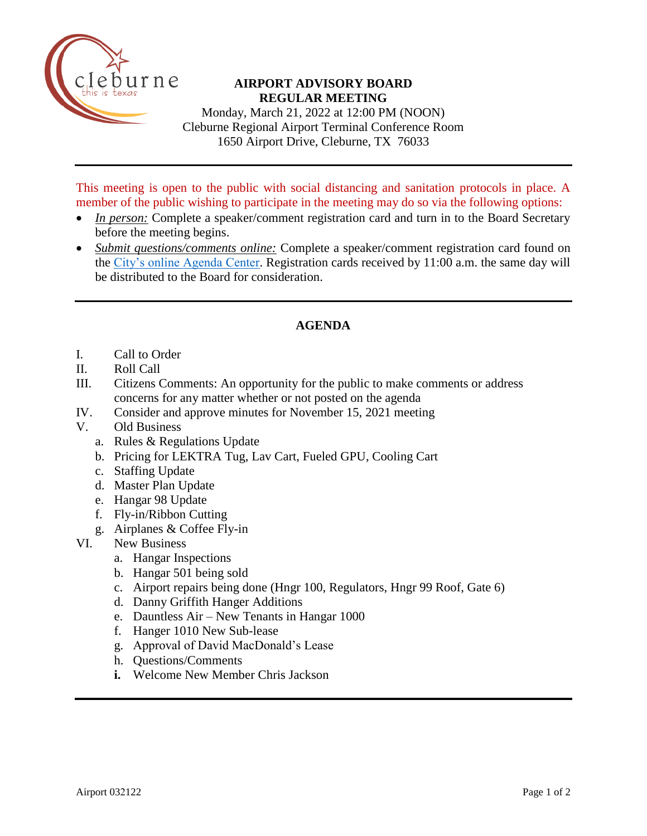

## **AIRPORT ADVISORY BOARD REGULAR MEETING**

Monday, March 21, 2022 at 12:00 PM (NOON) Cleburne Regional Airport Terminal Conference Room 1650 Airport Drive, Cleburne, TX 76033

This meeting is open to the public with social distancing and sanitation protocols in place. A member of the public wishing to participate in the meeting may do so via the following options:

- *In person:* Complete a speaker/comment registration card and turn in to the Board Secretary before the meeting begins.
- *Submit questions/comments online:* Complete a speaker/comment registration card found on the [City's online Agenda Center.](https://www.cleburne.net/agendacenter) Registration cards received by 11:00 a.m. the same day will be distributed to the Board for consideration.

## **AGENDA**

- I. Call to Order
- II. Roll Call
- III. Citizens Comments: An opportunity for the public to make comments or address concerns for any matter whether or not posted on the agenda
- IV. Consider and approve minutes for November 15, 2021 meeting
- V. Old Business
	- a. Rules & Regulations Update
	- b. Pricing for LEKTRA Tug, Lav Cart, Fueled GPU, Cooling Cart
	- c. Staffing Update
	- d. Master Plan Update
	- e. Hangar 98 Update
	- f. Fly-in/Ribbon Cutting
	- g. Airplanes & Coffee Fly-in
- VI. New Business
	- a. Hangar Inspections
	- b. Hangar 501 being sold
	- c. Airport repairs being done (Hngr 100, Regulators, Hngr 99 Roof, Gate 6)
	- d. Danny Griffith Hanger Additions
	- e. Dauntless Air New Tenants in Hangar 1000
	- f. Hanger 1010 New Sub-lease
	- g. Approval of David MacDonald's Lease
	- h. Questions/Comments
	- **i.** Welcome New Member Chris Jackson